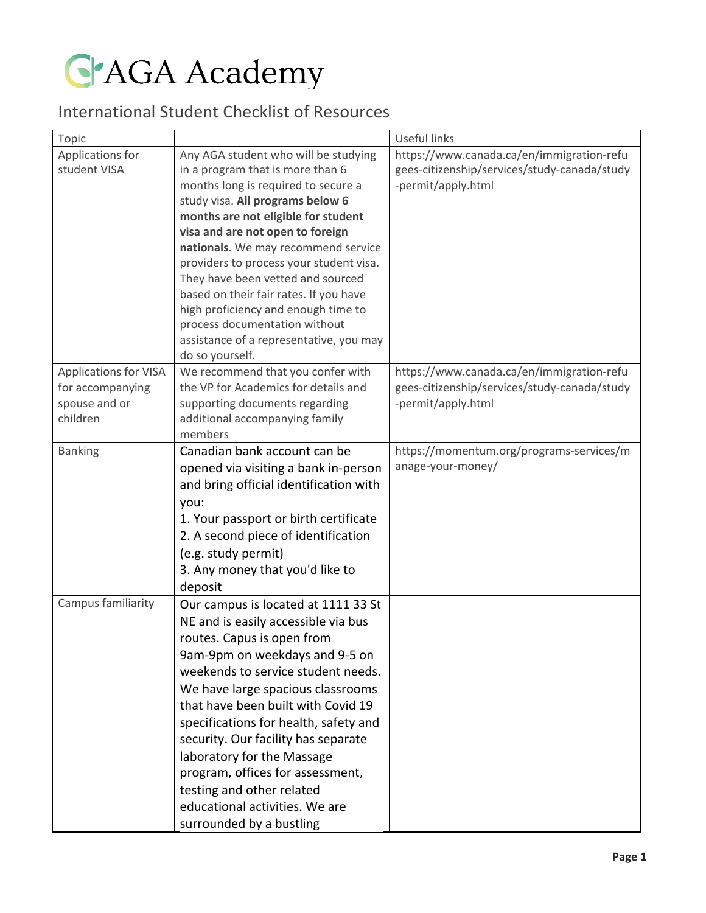**G'AGA Academy** 

## International Student Checklist of Resources

| Topic                                                                         |                                                                                                                                                                                                                                                                                                                                                                                                                                                                                                                                       | Useful links                                                                                                    |
|-------------------------------------------------------------------------------|---------------------------------------------------------------------------------------------------------------------------------------------------------------------------------------------------------------------------------------------------------------------------------------------------------------------------------------------------------------------------------------------------------------------------------------------------------------------------------------------------------------------------------------|-----------------------------------------------------------------------------------------------------------------|
| Applications for<br>student VISA                                              | Any AGA student who will be studying<br>in a program that is more than 6<br>months long is required to secure a<br>study visa. All programs below 6<br>months are not eligible for student<br>visa and are not open to foreign<br>nationals. We may recommend service<br>providers to process your student visa.<br>They have been vetted and sourced<br>based on their fair rates. If you have<br>high proficiency and enough time to<br>process documentation without<br>assistance of a representative, you may<br>do so yourself. | https://www.canada.ca/en/immigration-refu<br>gees-citizenship/services/study-canada/study<br>-permit/apply.html |
| <b>Applications for VISA</b><br>for accompanying<br>spouse and or<br>children | We recommend that you confer with<br>the VP for Academics for details and<br>supporting documents regarding<br>additional accompanying family<br>members                                                                                                                                                                                                                                                                                                                                                                              | https://www.canada.ca/en/immigration-refu<br>gees-citizenship/services/study-canada/study<br>-permit/apply.html |
| <b>Banking</b>                                                                | Canadian bank account can be<br>opened via visiting a bank in-person<br>and bring official identification with<br>you:<br>1. Your passport or birth certificate<br>2. A second piece of identification<br>(e.g. study permit)<br>3. Any money that you'd like to<br>deposit                                                                                                                                                                                                                                                           | https://momentum.org/programs-services/m<br>anage-your-money/                                                   |
| Campus familiarity                                                            | Our campus is located at 1111 33 St<br>NE and is easily accessible via bus<br>routes. Capus is open from<br>9am-9pm on weekdays and 9-5 on<br>weekends to service student needs.<br>We have large spacious classrooms<br>that have been built with Covid 19<br>specifications for health, safety and<br>security. Our facility has separate<br>laboratory for the Massage<br>program, offices for assessment,<br>testing and other related<br>educational activities. We are<br>surrounded by a bustling                              |                                                                                                                 |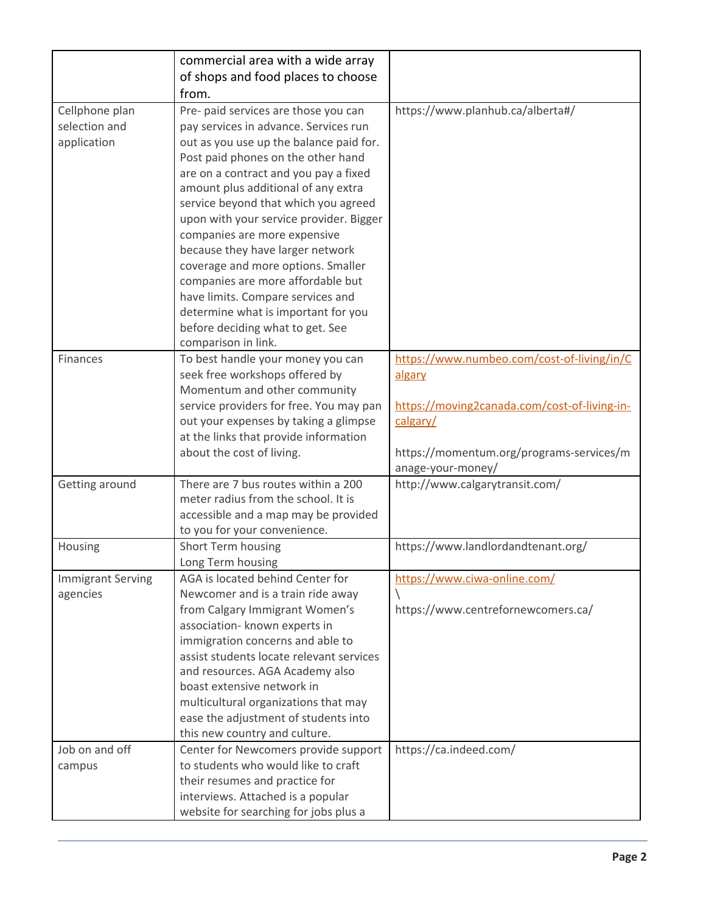|                                 | commercial area with a wide array<br>of shops and food places to choose       |                                                               |
|---------------------------------|-------------------------------------------------------------------------------|---------------------------------------------------------------|
|                                 | from.                                                                         |                                                               |
| Cellphone plan<br>selection and | Pre- paid services are those you can<br>pay services in advance. Services run | https://www.planhub.ca/alberta#/                              |
| application                     | out as you use up the balance paid for.                                       |                                                               |
|                                 | Post paid phones on the other hand                                            |                                                               |
|                                 | are on a contract and you pay a fixed                                         |                                                               |
|                                 | amount plus additional of any extra                                           |                                                               |
|                                 | service beyond that which you agreed                                          |                                                               |
|                                 | upon with your service provider. Bigger                                       |                                                               |
|                                 | companies are more expensive                                                  |                                                               |
|                                 | because they have larger network                                              |                                                               |
|                                 | coverage and more options. Smaller                                            |                                                               |
|                                 | companies are more affordable but                                             |                                                               |
|                                 | have limits. Compare services and                                             |                                                               |
|                                 | determine what is important for you                                           |                                                               |
|                                 | before deciding what to get. See                                              |                                                               |
|                                 | comparison in link.                                                           |                                                               |
| Finances                        | To best handle your money you can                                             | https://www.numbeo.com/cost-of-living/in/C                    |
|                                 | seek free workshops offered by                                                | algary                                                        |
|                                 | Momentum and other community                                                  |                                                               |
|                                 | service providers for free. You may pan                                       | https://moving2canada.com/cost-of-living-in-                  |
|                                 | out your expenses by taking a glimpse                                         | calgary/                                                      |
|                                 | at the links that provide information<br>about the cost of living.            |                                                               |
|                                 |                                                                               | https://momentum.org/programs-services/m<br>anage-your-money/ |
| Getting around                  | There are 7 bus routes within a 200                                           | http://www.calgarytransit.com/                                |
|                                 | meter radius from the school. It is                                           |                                                               |
|                                 | accessible and a map may be provided                                          |                                                               |
|                                 | to you for your convenience.                                                  |                                                               |
| Housing                         | Short Term housing                                                            | https://www.landlordandtenant.org/                            |
|                                 | Long Term housing                                                             |                                                               |
| <b>Immigrant Serving</b>        | AGA is located behind Center for                                              | https://www.ciwa-online.com/                                  |
| agencies                        | Newcomer and is a train ride away                                             |                                                               |
|                                 | from Calgary Immigrant Women's                                                | https://www.centrefornewcomers.ca/                            |
|                                 | association- known experts in                                                 |                                                               |
|                                 | immigration concerns and able to                                              |                                                               |
|                                 | assist students locate relevant services                                      |                                                               |
|                                 | and resources. AGA Academy also                                               |                                                               |
|                                 | boast extensive network in                                                    |                                                               |
|                                 | multicultural organizations that may<br>ease the adjustment of students into  |                                                               |
|                                 | this new country and culture.                                                 |                                                               |
| Job on and off                  | Center for Newcomers provide support                                          | https://ca.indeed.com/                                        |
| campus                          | to students who would like to craft                                           |                                                               |
|                                 | their resumes and practice for                                                |                                                               |
|                                 | interviews. Attached is a popular                                             |                                                               |
|                                 | website for searching for jobs plus a                                         |                                                               |